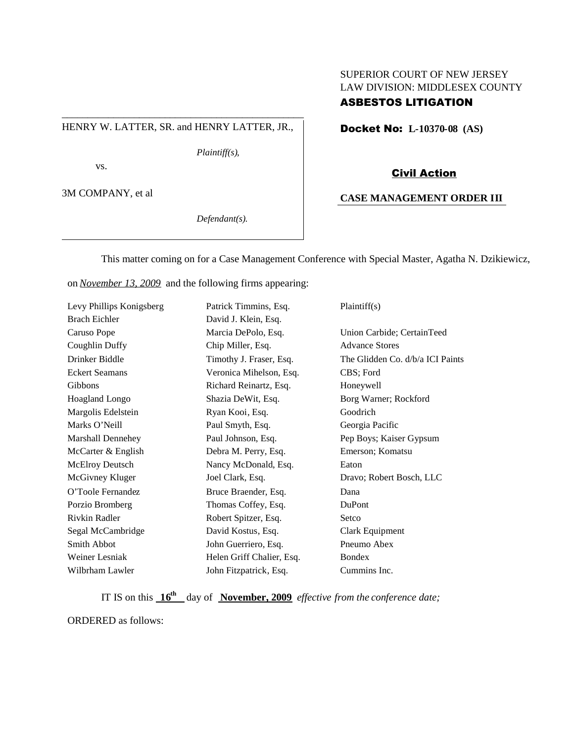## SUPERIOR COURT OF NEW JERSEY LAW DIVISION: MIDDLESEX COUNTY ASBESTOS LITIGATION

#### HENRY W. LATTER, SR. and HENRY LATTER, JR.,

\_\_\_\_\_\_\_\_\_\_\_\_\_\_\_\_\_\_\_\_\_\_\_\_\_\_\_\_\_\_\_\_\_\_\_\_\_\_\_\_\_\_\_\_\_\_\_

*Plaintiff(s),*

vs.

3M COMPANY, et al

*Defendant(s).*

Docket No: **L-10370-08 (AS)**

#### Civil Action

#### **CASE MANAGEMENT ORDER III**

This matter coming on for a Case Management Conference with Special Master, Agatha N. Dzikiewicz,

on *November 13, 2009* and the following firms appearing:

| Levy Phillips Konigsberg | Patrick Timmins, Esq.     | Plaintiff(s)                     |
|--------------------------|---------------------------|----------------------------------|
| <b>Brach Eichler</b>     | David J. Klein, Esq.      |                                  |
| Caruso Pope              | Marcia DePolo, Esq.       | Union Carbide; CertainTeed       |
| Coughlin Duffy           | Chip Miller, Esq.         | <b>Advance Stores</b>            |
| Drinker Biddle           | Timothy J. Fraser, Esq.   | The Glidden Co. d/b/a ICI Paints |
| <b>Eckert Seamans</b>    | Veronica Mihelson, Esq.   | CBS; Ford                        |
| <b>Gibbons</b>           | Richard Reinartz, Esq.    | Honeywell                        |
| Hoagland Longo           | Shazia DeWit, Esq.        | Borg Warner; Rockford            |
| Margolis Edelstein       | Ryan Kooi, Esq.           | Goodrich                         |
| Marks O'Neill            | Paul Smyth, Esq.          | Georgia Pacific                  |
| <b>Marshall Dennehey</b> | Paul Johnson, Esq.        | Pep Boys; Kaiser Gypsum          |
| McCarter & English       | Debra M. Perry, Esq.      | Emerson; Komatsu                 |
| <b>McElroy Deutsch</b>   | Nancy McDonald, Esq.      | Eaton                            |
| McGivney Kluger          | Joel Clark, Esq.          | Dravo; Robert Bosch, LLC         |
| O'Toole Fernandez        | Bruce Braender, Esq.      | Dana                             |
| Porzio Bromberg          | Thomas Coffey, Esq.       | DuPont                           |
| Rivkin Radler            | Robert Spitzer, Esq.      | Setco                            |
| Segal McCambridge        | David Kostus, Esq.        | Clark Equipment                  |
| Smith Abbot              | John Guerriero, Esq.      | Pneumo Abex                      |
| Weiner Lesniak           | Helen Griff Chalier, Esq. | <b>Bondex</b>                    |
| Wilbrham Lawler          | John Fitzpatrick, Esq.    | Cummins Inc.                     |

IT IS on this  $16^{\text{th}}$  day of November, 2009 *effective from the conference date*;

ORDERED as follows: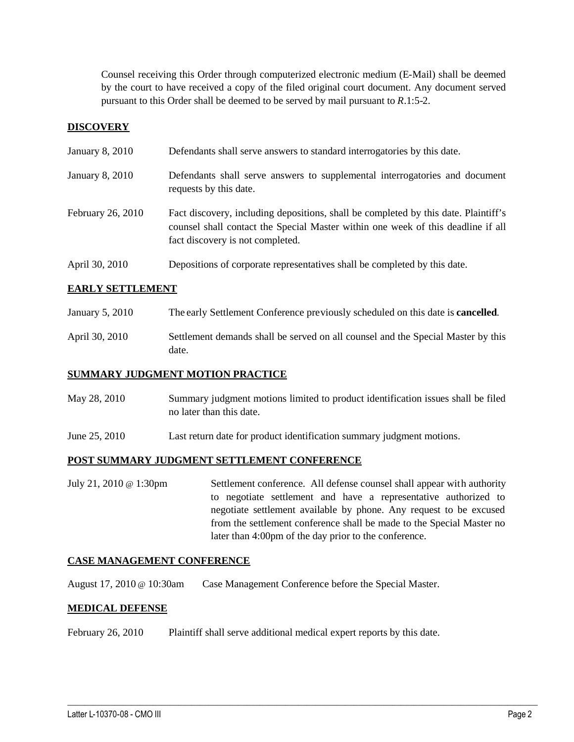Counsel receiving this Order through computerized electronic medium (E-Mail) shall be deemed by the court to have received a copy of the filed original court document. Any document served pursuant to this Order shall be deemed to be served by mail pursuant to *R*.1:5-2.

## **DISCOVERY**

| January 8, 2010   | Defendants shall serve answers to standard interrogatories by this date.                                                                                                                                    |
|-------------------|-------------------------------------------------------------------------------------------------------------------------------------------------------------------------------------------------------------|
| January 8, 2010   | Defendants shall serve answers to supplemental interrogatories and document<br>requests by this date.                                                                                                       |
| February 26, 2010 | Fact discovery, including depositions, shall be completed by this date. Plaintiff's<br>counsel shall contact the Special Master within one week of this deadline if all<br>fact discovery is not completed. |
| April 30, 2010    | Depositions of corporate representatives shall be completed by this date.                                                                                                                                   |

## **EARLY SETTLEMENT**

- January 5, 2010 The early Settlement Conference previously scheduled on this date is **cancelled**.
- April 30, 2010 Settlement demands shall be served on all counsel and the Special Master by this date.

## **SUMMARY JUDGMENT MOTION PRACTICE**

- May 28, 2010 Summary judgment motions limited to product identification issues shall be filed no later than this date.
- June 25, 2010 Last return date for product identification summary judgment motions.

## **POST SUMMARY JUDGMENT SETTLEMENT CONFERENCE**

July 21, 2010 @ 1:30pm Settlement conference. All defense counsel shall appear with authority to negotiate settlement and have a representative authorized to negotiate settlement available by phone. Any request to be excused from the settlement conference shall be made to the Special Master no later than 4:00pm of the day prior to the conference.

 $\_$  ,  $\_$  ,  $\_$  ,  $\_$  ,  $\_$  ,  $\_$  ,  $\_$  ,  $\_$  ,  $\_$  ,  $\_$  ,  $\_$  ,  $\_$  ,  $\_$  ,  $\_$  ,  $\_$  ,  $\_$  ,  $\_$  ,  $\_$  ,  $\_$  ,  $\_$  ,  $\_$  ,  $\_$  ,  $\_$  ,  $\_$  ,  $\_$  ,  $\_$  ,  $\_$  ,  $\_$  ,  $\_$  ,  $\_$  ,  $\_$  ,  $\_$  ,  $\_$  ,  $\_$  ,  $\_$  ,  $\_$  ,  $\_$  ,

#### **CASE MANAGEMENT CONFERENCE**

August 17, 2010 @ 10:30am Case Management Conference before the Special Master.

#### **MEDICAL DEFENSE**

February 26, 2010 Plaintiff shall serve additional medical expert reports by this date.